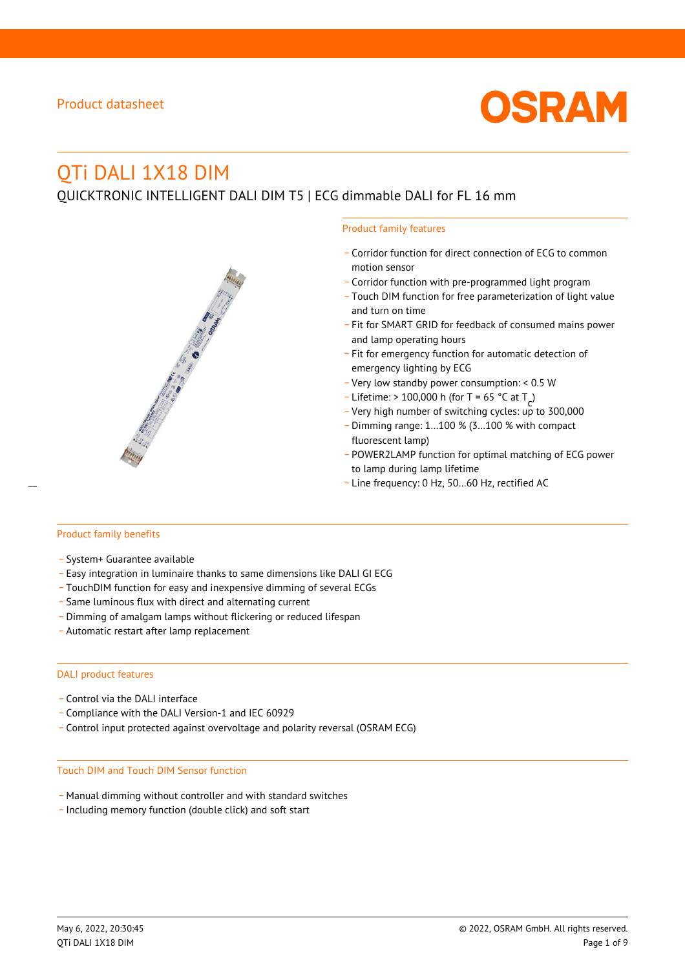

# QTi DALI 1X18 DIM

QUICKTRONIC INTELLIGENT DALI DIM T5 | ECG dimmable DALI for FL 16 mm

#### Product family features

- \_ Corridor function for direct connection of ECG to common motion sensor
- \_ Corridor function with pre-programmed light program
- \_ Touch DIM function for free parameterization of light value and turn on time
- Fit for SMART GRID for feedback of consumed mains power and lamp operating hours
- \_ Fit for emergency function for automatic detection of emergency lighting by ECG
- \_ Very low standby power consumption: < 0.5 W
- $-$  Lifetime: > 100,000 h (for T = 65 °C at T
- Litedine. The 100,000 in (ion 1 05 ° C at  $1\frac{c^7}{c^7}$ <br>- Very high number of switching cycles: up to 300,000
- \_ Dimming range: 1…100 % (3…100 % with compact fluorescent lamp)
- POWER2LAMP function for optimal matching of ECG power to lamp during lamp lifetime
- Line frequency: 0 Hz, 50...60 Hz, rectified AC

#### Product family benefits

- \_ System+ Guarantee available
- \_ Easy integration in luminaire thanks to same dimensions like DALI GI ECG
- \_ TouchDIM function for easy and inexpensive dimming of several ECGs
- \_ Same luminous flux with direct and alternating current
- \_ Dimming of amalgam lamps without flickering or reduced lifespan
- \_ Automatic restart after lamp replacement

#### DALI product features

- Control via the DALI interface
- \_ Compliance with the DALI Version-1 and IEC 60929
- \_ Control input protected against overvoltage and polarity reversal (OSRAM ECG)

#### Touch DIM and Touch DIM Sensor function

- \_ Manual dimming without controller and with standard switches
- \_ Including memory function (double click) and soft start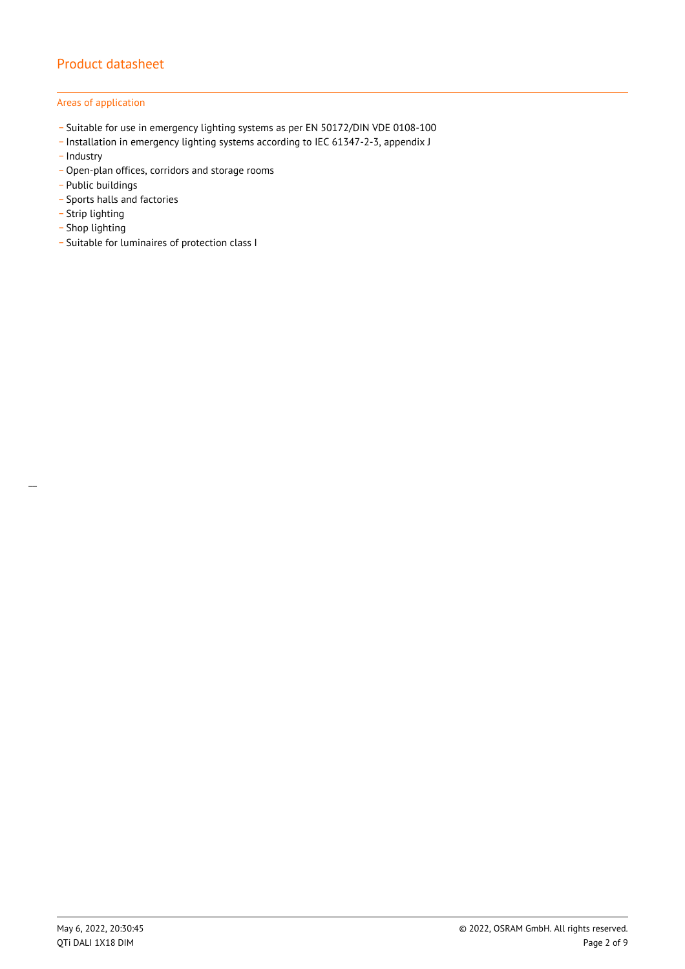#### Areas of application

- \_ Suitable for use in emergency lighting systems as per EN 50172/DIN VDE 0108-100
- \_ Installation in emergency lighting systems according to IEC 61347-2-3, appendix J
- Industry
- Open-plan offices, corridors and storage rooms
- \_ Public buildings
- \_ Sports halls and factories
- .<br>- Strip lighting
- \_ Shop lighting

 $\overline{a}$ 

\_ Suitable for luminaires of protection class I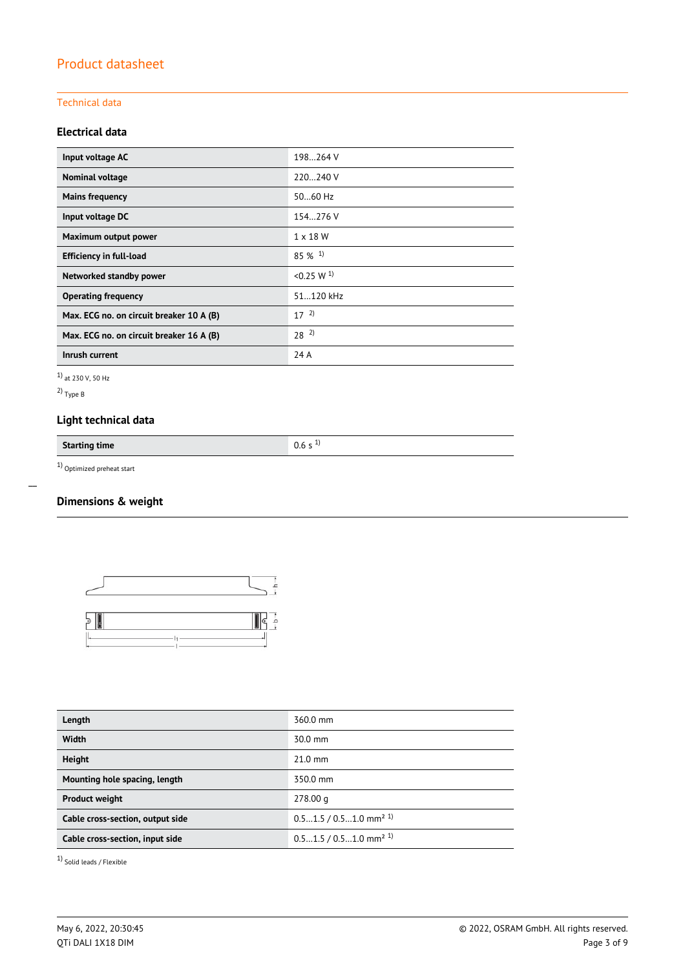#### Technical data

## **Electrical data**

| Input voltage AC                         | 198264 V              |  |
|------------------------------------------|-----------------------|--|
| Nominal voltage                          | 220240 V              |  |
| <b>Mains frequency</b>                   | 5060 Hz               |  |
| Input voltage DC                         | 154.276 V             |  |
| Maximum output power                     | $1 \times 18$ W       |  |
| <b>Efficiency in full-load</b>           | $85\%$ <sup>1)</sup>  |  |
| Networked standby power                  | < 0.25 W <sup>1</sup> |  |
| <b>Operating frequency</b>               | 51.120 kHz            |  |
| Max. ECG no. on circuit breaker 10 A (B) | $17^{2}$              |  |
| Max. ECG no. on circuit breaker 16 A (B) | $28^{2}$              |  |
| Inrush current                           | 24 A                  |  |

1) at 230 V, 50 Hz

2) Type B

 $\overline{a}$ 

## **Light technical data**

**Starting time** 0.6 s <sup>1)</sup>

1) Optimized preheat start

## **Dimensions & weight**



| Length                           | 360.0 mm                             |  |
|----------------------------------|--------------------------------------|--|
| Width                            | 30.0 mm                              |  |
| <b>Height</b>                    | $21.0$ mm                            |  |
| Mounting hole spacing, length    | 350.0 mm                             |  |
| <b>Product weight</b>            | 278.00 g                             |  |
| Cable cross-section, output side | $0.51.5 / 0.51.0$ mm <sup>2 1)</sup> |  |
| Cable cross-section, input side  | $0.51.5 / 0.51.0$ mm <sup>2 1)</sup> |  |

1) Solid leads / Flexible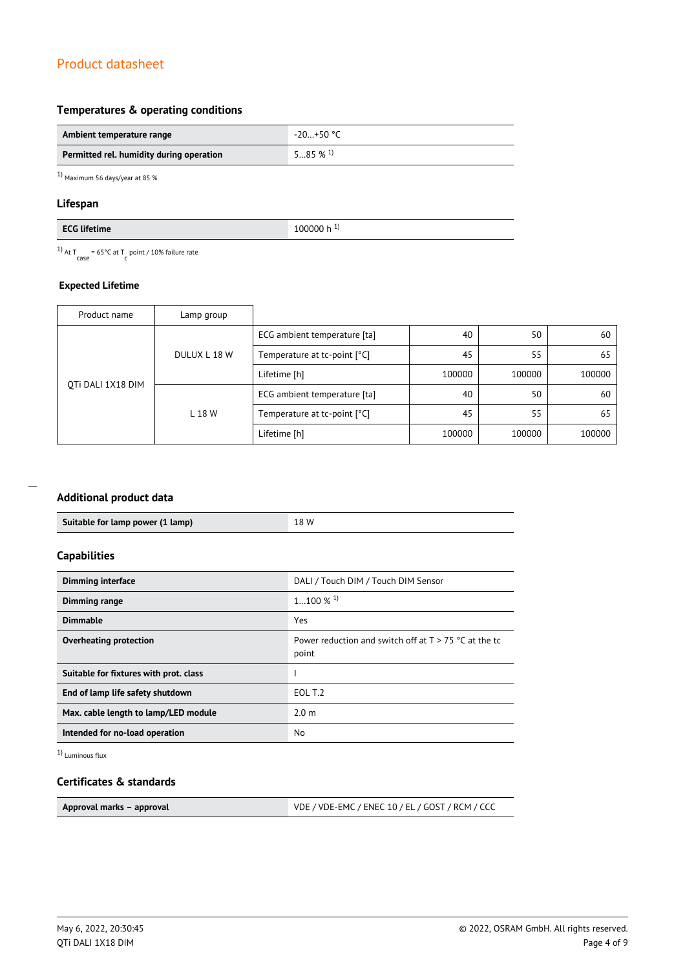## **Temperatures & operating conditions**

| Ambient temperature range                | $-20+50$ °C           |
|------------------------------------------|-----------------------|
| Permitted rel. humidity during operation | $585\%$ <sup>1)</sup> |

1) Maximum 56 days/year at 85 %

#### **Lifespan**

| $FCT$ $E224$                                                                                                                                                                                                                                                                                                                                                                                                                                       | .   |
|----------------------------------------------------------------------------------------------------------------------------------------------------------------------------------------------------------------------------------------------------------------------------------------------------------------------------------------------------------------------------------------------------------------------------------------------------|-----|
| ►                                                                                                                                                                                                                                                                                                                                                                                                                                                  | ЭΟΟ |
| me                                                                                                                                                                                                                                                                                                                                                                                                                                                 | -n  |
| $\begin{array}{c} \begin{array}{c} \begin{array}{c} \end{array} \\ \begin{array}{c} \end{array} \end{array} \end{array} \begin{array}{c} \begin{array}{c} \end{array} \end{array} \begin{array}{c} \begin{array}{c} \end{array} \end{array} \begin{array}{c} \end{array} \begin{array}{c} \end{array} \end{array} \begin{array}{c} \begin{array}{c} \end{array} \end{array} \begin{array}{c} \end{array} \begin{array}{c} \end{array} \end{array}$ | __  |

<sup>1)</sup> At T<sub>case</sub> = 65°C at T<sub>c</sub> point / 10% failure rate

#### **Expected Lifetime**

| Product name                                | Lamp group |                              |        |        |        |
|---------------------------------------------|------------|------------------------------|--------|--------|--------|
| DULUX L 18 W<br>OTI DALI 1X18 DIM<br>L 18 W |            | ECG ambient temperature [ta] | 40     | 50     | 60     |
|                                             |            | Temperature at tc-point [°C] | 45     | 55     | 65     |
|                                             |            | Lifetime [h]                 | 100000 | 100000 | 100000 |
|                                             |            | ECG ambient temperature [ta] | 40     | 50     | 60     |
|                                             |            | Temperature at tc-point [°C] | 45     | 55     | 65     |
|                                             |            | Lifetime [h]                 | 100000 | 100000 | 100000 |

## **Additional product data**

| Suitable for lamp power (1 lamp) | 18 W |
|----------------------------------|------|
|                                  |      |

## **Capabilities**

| <b>Dimming interface</b>               | DALI / Touch DIM / Touch DIM Sensor                              |  |
|----------------------------------------|------------------------------------------------------------------|--|
| Dimming range                          | $1100 \%$ <sup>1)</sup>                                          |  |
| <b>Dimmable</b>                        | Yes                                                              |  |
| Overheating protection                 | Power reduction and switch off at $T > 75$ °C at the tc<br>point |  |
| Suitable for fixtures with prot. class |                                                                  |  |
| End of lamp life safety shutdown       | EOL T.2                                                          |  |
| Max. cable length to lamp/LED module   | 2.0 <sub>m</sub>                                                 |  |
| Intended for no-load operation         | No                                                               |  |

1) Luminous flux

### **Certificates & standards**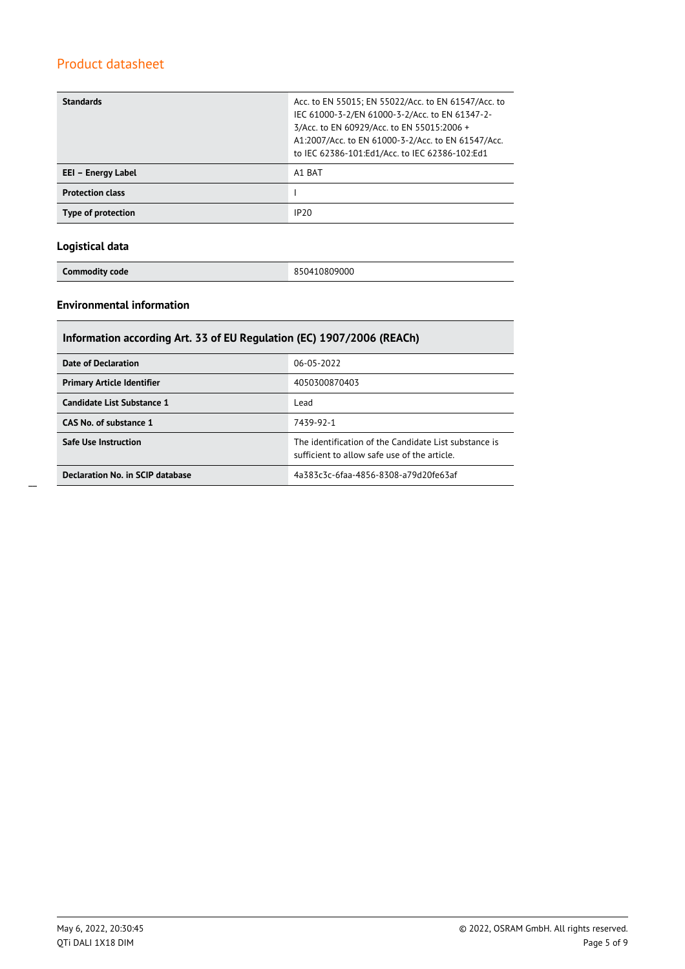| <b>Standards</b>        | Acc. to EN 55015; EN 55022/Acc. to EN 61547/Acc. to<br>IEC 61000-3-2/EN 61000-3-2/Acc. to EN 61347-2-<br>3/Acc. to EN 60929/Acc. to EN 55015:2006 +<br>A1:2007/Acc. to EN 61000-3-2/Acc. to EN 61547/Acc.<br>to IEC 62386-101:Ed1/Acc. to IEC 62386-102:Ed1 |
|-------------------------|-------------------------------------------------------------------------------------------------------------------------------------------------------------------------------------------------------------------------------------------------------------|
| EEI - Energy Label      | A1 BAT                                                                                                                                                                                                                                                      |
| <b>Protection class</b> |                                                                                                                                                                                                                                                             |
| Type of protection      | IP20                                                                                                                                                                                                                                                        |

## **Logistical data**

**Commodity code** 850410809000

### **Environmental information**

| Information according Art. 33 of EU Regulation (EC) 1907/2006 (REACh) |                                                                                                       |  |  |  |
|-----------------------------------------------------------------------|-------------------------------------------------------------------------------------------------------|--|--|--|
| Date of Declaration                                                   | 06-05-2022                                                                                            |  |  |  |
| <b>Primary Article Identifier</b>                                     | 4050300870403                                                                                         |  |  |  |
| Candidate List Substance 1                                            | Lead                                                                                                  |  |  |  |
| CAS No. of substance 1                                                | 7439-92-1                                                                                             |  |  |  |
| <b>Safe Use Instruction</b>                                           | The identification of the Candidate List substance is<br>sufficient to allow safe use of the article. |  |  |  |
| Declaration No. in SCIP database                                      | 4a383c3c-6faa-4856-8308-a79d20fe63af                                                                  |  |  |  |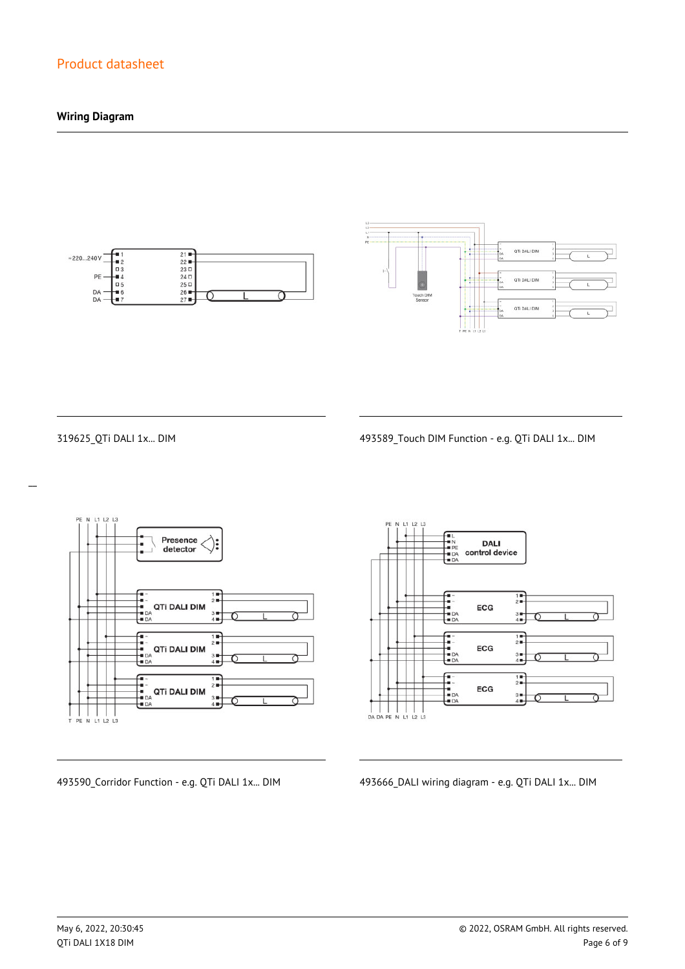## **Wiring Diagram**





 $\overline{a}$ 

319625\_QTi DALI 1x... DIM 493589\_Touch DIM Function - e.g. QTi DALI 1x... DIM



**DALI** control device  $\frac{1}{2}$ ECG  $\frac{3}{4}$  $\begin{array}{c}\n1 \\
\hline\n2 \\
\hline\n\end{array}$ -<br>- 1<br>- DA<br>- DA ECG  $3 +$ <br> $4 +$  $\frac{1}{2}$ 1<br>1<br>1<br>1<br>1<br>1<br>2 ECG  $3 +$ <br> $4 +$ 

493590\_Corridor Function - e.g. QTi DALI 1x... DIM 493666\_DALI wiring diagram - e.g. QTi DALI 1x... DIM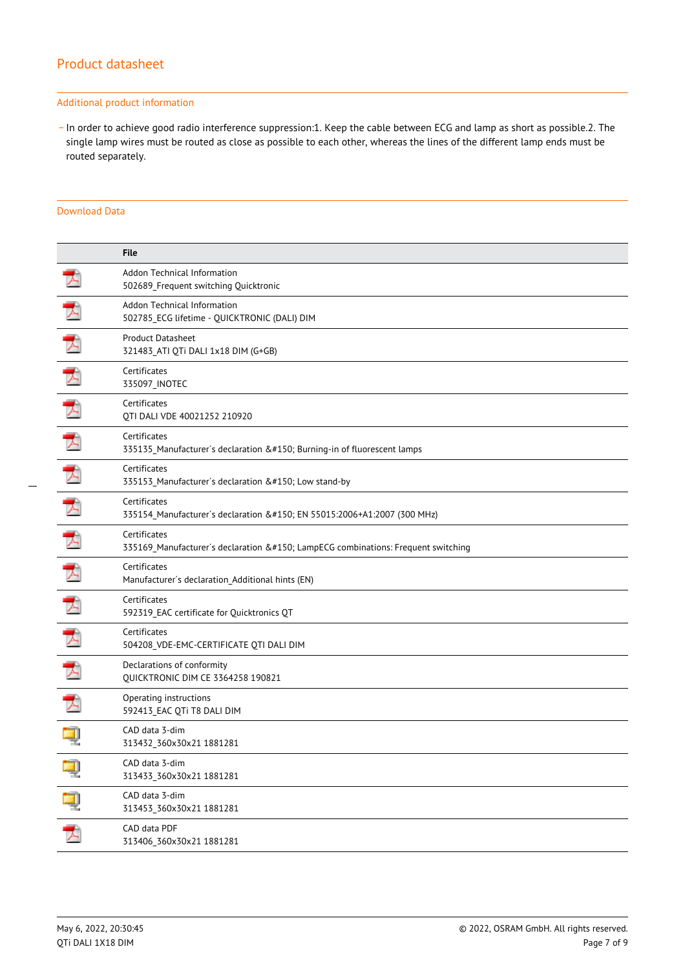#### Additional product information

\_ In order to achieve good radio interference suppression:1. Keep the cable between ECG and lamp as short as possible.2. The single lamp wires must be routed as close as possible to each other, whereas the lines of the different lamp ends must be routed separately.

#### Download Data

|   | <b>File</b>                                                                                  |
|---|----------------------------------------------------------------------------------------------|
|   | Addon Technical Information<br>502689_Frequent switching Quicktronic                         |
|   | Addon Technical Information<br>502785 ECG lifetime - QUICKTRONIC (DALI) DIM                  |
| ▶ | Product Datasheet<br>321483_ATI QTi DALI 1x18 DIM (G+GB)                                     |
|   | Certificates<br>335097_INOTEC                                                                |
| プ | Certificates<br>QTI DALI VDE 40021252 210920                                                 |
|   | Certificates<br>335135_Manufacturer's declaration – Burning-in of fluorescent lamps          |
|   | Certificates<br>335153_Manufacturer's declaration – Low stand-by                             |
| プ | Certificates<br>335154_Manufacturer's declaration – EN 55015:2006+A1:2007 (300 MHz)          |
| 犬 | Certificates<br>335169_Manufacturer's declaration – LampECG combinations: Frequent switching |
|   | Certificates<br>Manufacturer's declaration_Additional hints (EN)                             |
| 入 | Certificates<br>592319_EAC certificate for Quicktronics QT                                   |
|   | Certificates<br>504208_VDE-EMC-CERTIFICATE QTI DALI DIM                                      |
| Z | Declarations of conformity<br>QUICKTRONIC DIM CE 3364258 190821                              |
| ᅐ | Operating instructions<br>592413_EAC QTi T8 DALI DIM                                         |
|   | CAD data 3-dim<br>313432_360x30x21 1881281                                                   |
|   | CAD data 3-dim<br>313433_360x30x21 1881281                                                   |
| ą | CAD data 3-dim<br>313453_360x30x21 1881281                                                   |
| 丈 | CAD data PDF<br>313406_360x30x21 1881281                                                     |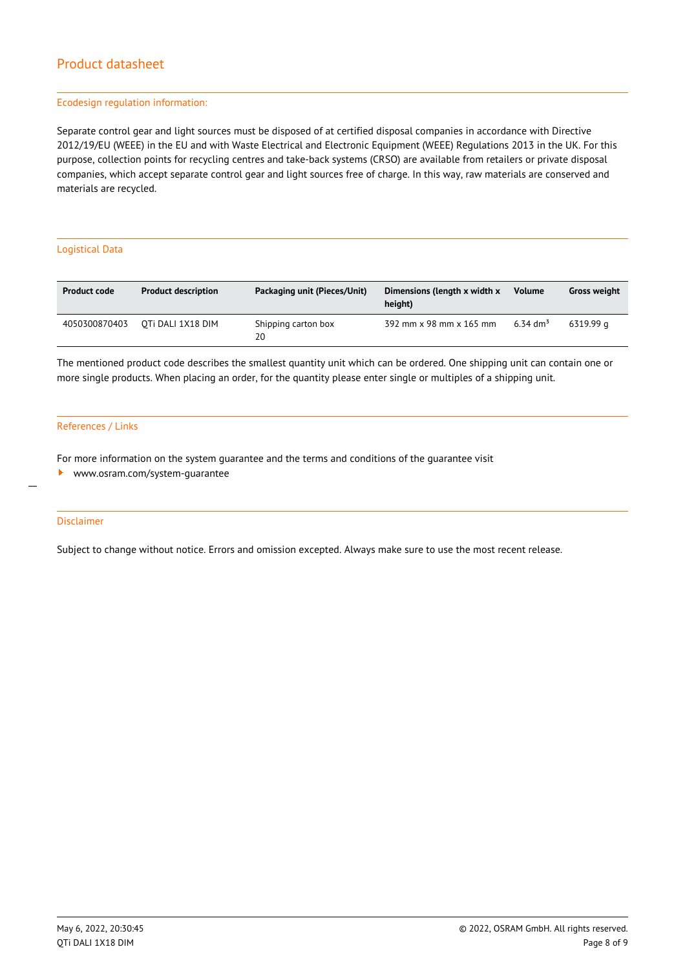#### Ecodesign regulation information:

Separate control gear and light sources must be disposed of at certified disposal companies in accordance with Directive 2012/19/EU (WEEE) in the EU and with Waste Electrical and Electronic Equipment (WEEE) Regulations 2013 in the UK. For this purpose, collection points for recycling centres and take-back systems (CRSO) are available from retailers or private disposal companies, which accept separate control gear and light sources free of charge. In this way, raw materials are conserved and materials are recycled.

#### Logistical Data

| <b>Product code</b> | <b>Product description</b> | Packaging unit (Pieces/Unit) | Dimensions (length x width x<br>height) | <b>Volume</b>        | <b>Gross weight</b> |
|---------------------|----------------------------|------------------------------|-----------------------------------------|----------------------|---------------------|
| 4050300870403       | OTI DALI 1X18 DIM          | Shipping carton box<br>20    | 392 mm x 98 mm x 165 mm                 | 6.34 dm <sup>3</sup> | 6319.99 a           |

The mentioned product code describes the smallest quantity unit which can be ordered. One shipping unit can contain one or more single products. When placing an order, for the quantity please enter single or multiples of a shipping unit.

#### References / Links

For more information on the system guarantee and the terms and conditions of the guarantee visit

<www.osram.com/system-guarantee>

#### Disclaimer

 $\overline{a}$ 

Subject to change without notice. Errors and omission excepted. Always make sure to use the most recent release.